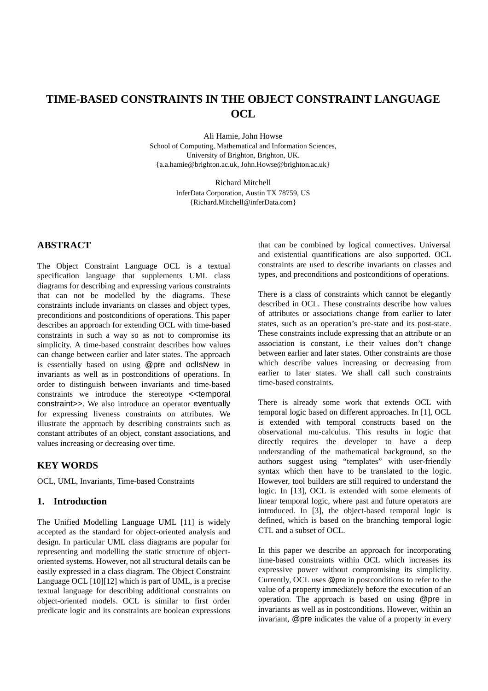# **TIME-BASED CONSTRAINTS IN THE OBJECT CONSTRAINT LANGUAGE OCL**

Ali Hamie, John Howse School of Computing, Mathematical and Information Sciences, University of Brighton, Brighton, UK. {a.a.hamie@brighton.ac.uk, John.Howse@brighton.ac.uk}

> Richard Mitchell InferData Corporation, Austin TX 78759, US {Richard.Mitchell@inferData.com}

## **ABSTRACT**

The Object Constraint Language OCL is a textual specification language that supplements UML class diagrams for describing and expressing various constraints that can not be modelled by the diagrams. These constraints include invariants on classes and object types, preconditions and postconditions of operations. This paper describes an approach for extending OCL with time-based constraints in such a way so as not to compromise its simplicity. A time-based constraint describes how values can change between earlier and later states. The approach is essentially based on using @pre and oclIsNew in invariants as well as in postconditions of operations. In order to distinguish between invariants and time-based constraints we introduce the stereotype <<temporal constraint>>. We also introduce an operator eventually for expressing liveness constraints on attributes. We illustrate the approach by describing constraints such as constant attributes of an object, constant associations, and values increasing or decreasing over time.

## **KEY WORDS**

OCL, UML, Invariants, Time-based Constraints

## **1. Introduction**

The Unified Modelling Language UML [11] is widely accepted as the standard for object-oriented analysis and design. In particular UML class diagrams are popular for representing and modelling the static structure of objectoriented systems. However, not all structural details can be easily expressed in a class diagram. The Object Constraint Language OCL [10][12] which is part of UML, is a precise textual language for describing additional constraints on object-oriented models. OCL is similar to first order predicate logic and its constraints are boolean expressions

that can be combined by logical connectives. Universal and existential quantifications are also supported. OCL constraints are used to describe invariants on classes and types, and preconditions and postconditions of operations.

There is a class of constraints which cannot be elegantly described in OCL. These constraints describe how values of attributes or associations change from earlier to later states, such as an operation's pre-state and its post-state. These constraints include expressing that an attribute or an association is constant, i.e their values don't change between earlier and later states. Other constraints are those which describe values increasing or decreasing from earlier to later states. We shall call such constraints time-based constraints.

There is already some work that extends OCL with temporal logic based on different approaches. In [1], OCL is extended with temporal constructs based on the observational mu-calculus. This results in logic that directly requires the developer to have a deep understanding of the mathematical background, so the authors suggest using "templates" with user-friendly syntax which then have to be translated to the logic. However, tool builders are still required to understand the logic. In [13], OCL is extended with some elements of linear temporal logic, where past and future operators are introduced. In [3], the object-based temporal logic is defined, which is based on the branching temporal logic CTL and a subset of OCL.

In this paper we describe an approach for incorporating time-based constraints within OCL which increases its expressive power without compromising its simplicity. Currently, OCL uses @pre in postconditions to refer to the value of a property immediately before the execution of an operation. The approach is based on using @pre in invariants as well as in postconditions. However, within an invariant, @pre indicates the value of a property in every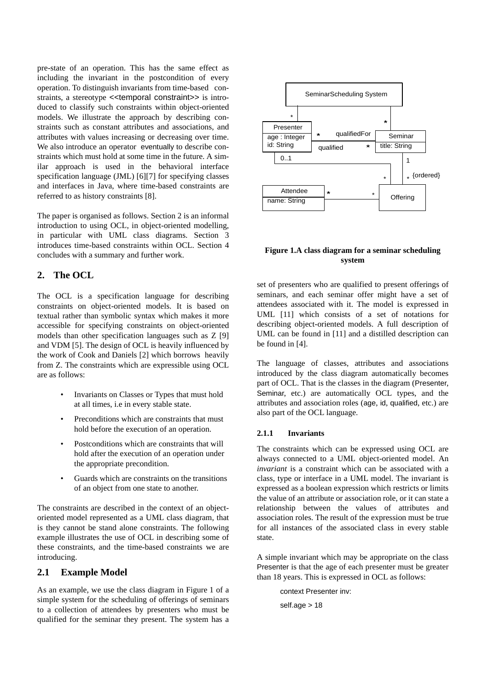pre-state of an operation. This has the same effect as including the invariant in the postcondition of every operation. To distinguish invariants from time-based constraints, a stereotype <<temporal constraint>> is introduced to classify such constraints within object-oriented models. We illustrate the approach by describing constraints such as constant attributes and associations, and attributes with values increasing or decreasing over time. We also introduce an operator eventually to describe constraints which must hold at some time in the future. A similar approach is used in the behavioral interface specification language (JML) [6][7] for specifying classes and interfaces in Java, where time-based constraints are referred to as history constraints [8].

The paper is organised as follows. Section 2 is an informal introduction to using OCL, in object-oriented modelling, in particular with UML class diagrams. Section 3 introduces time-based constraints within OCL. Section 4 concludes with a summary and further work.

## **2. The OCL**

The OCL is a specification language for describing constraints on object-oriented models. It is based on textual rather than symbolic syntax which makes it more accessible for specifying constraints on object-oriented models than other specification languages such as Z [9] and VDM [5]. The design of OCL is heavily influenced by the work of Cook and Daniels [2] which borrows heavily from Z. The constraints which are expressible using OCL are as follows:

- Invariants on Classes or Types that must hold at all times, i.e in every stable state.
- Preconditions which are constraints that must hold before the execution of an operation.
- Postconditions which are constraints that will hold after the execution of an operation under the appropriate precondition.
- Guards which are constraints on the transitions of an object from one state to another.

The constraints are described in the context of an objectoriented model represented as a UML class diagram, that is they cannot be stand alone constraints. The following example illustrates the use of OCL in describing some of these constraints, and the time-based constraints we are introducing.

## **2.1 Example Model**

As an example, we use the class diagram in Figure 1 of a simple system for the scheduling of offerings of seminars to a collection of attendees by presenters who must be qualified for the seminar they present. The system has a



#### **Figure 1.A class diagram for a seminar scheduling system**

set of presenters who are qualified to present offerings of seminars, and each seminar offer might have a set of attendees associated with it. The model is expressed in UML [11] which consists of a set of notations for describing object-oriented models. A full description of UML can be found in [11] and a distilled description can be found in [4].

The language of classes, attributes and associations introduced by the class diagram automatically becomes part of OCL. That is the classes in the diagram (Presenter, Seminar, etc.) are automatically OCL types, and the attributes and association roles (age, id, qualified, etc.) are also part of the OCL language.

#### **2.1.1 Invariants**

The constraints which can be expressed using OCL are always connected to a UML object-oriented model. An *invariant* is a constraint which can be associated with a class, type or interface in a UML model. The invariant is expressed as a boolean expression which restricts or limits the value of an attribute or association role, or it can state a relationship between the values of attributes and association roles. The result of the expression must be true for all instances of the associated class in every stable state.

A simple invariant which may be appropriate on the class Presenter is that the age of each presenter must be greater than 18 years. This is expressed in OCL as follows:

> context Presenter inv: self.age > 18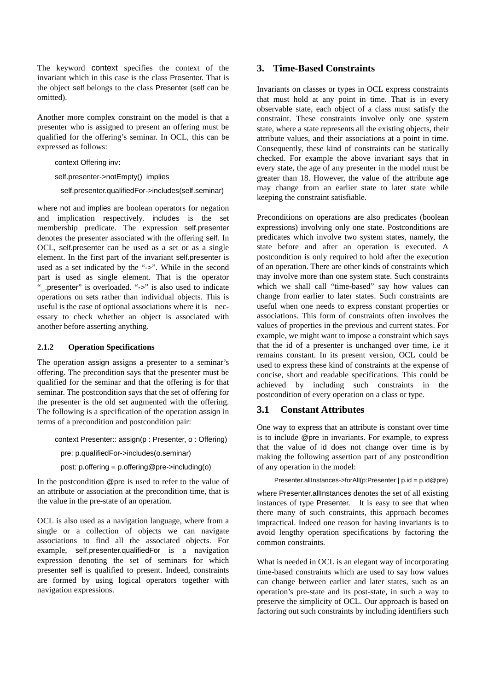The keyword context specifies the context of the invariant which in this case is the class Presenter. That is the object self belongs to the class Presenter (self can be omitted).

Another more complex constraint on the model is that a presenter who is assigned to present an offering must be qualified for the offering's seminar. In OCL, this can be expressed as follows:

context Offering inv**:**

self.presenter->notEmpty() implies

self.presenter.qualifiedFor->includes(self.seminar)

where not and implies are boolean operators for negation and implication respectively. includes is the set membership predicate. The expression self.presenter denotes the presenter associated with the offering self. In OCL, self.presenter can be used as a set or as a single element. In the first part of the invariant self.presenter is used as a set indicated by the "->". While in the second part is used as single element. That is the operator "
\_.presenter" is overloaded. "->" is also used to indicate operations on sets rather than individual objects. This is useful is the case of optional associations where it is necessary to check whether an object is associated with another before asserting anything.

#### **2.1.2 Operation Specifications**

The operation assign assigns a presenter to a seminar's offering. The precondition says that the presenter must be qualified for the seminar and that the offering is for that seminar. The postcondition says that the set of offering for the presenter is the old set augmented with the offering. The following is a specification of the operation assign in terms of a precondition and postcondition pair:

context Presenter:: assign(p : Presenter, o : Offering)

pre: p.qualifiedFor->includes(o.seminar)

post: p.offering = p.offering@pre->including(o)

In the postcondition @pre is used to refer to the value of an attribute or association at the precondition time, that is the value in the pre-state of an operation.

OCL is also used as a navigation language, where from a single or a collection of objects we can navigate associations to find all the associated objects. For example, self.presenter.qualifiedFor is a navigation expression denoting the set of seminars for which presenter self is qualified to present. Indeed, constraints are formed by using logical operators together with navigation expressions.

## **3. Time-Based Constraints**

Invariants on classes or types in OCL express constraints that must hold at any point in time. That is in every observable state, each object of a class must satisfy the constraint. These constraints involve only one system state, where a state represents all the existing objects, their attribute values, and their associations at a point in time. Consequently, these kind of constraints can be statically checked. For example the above invariant says that in every state, the age of any presenter in the model must be greater than 18. However, the value of the attribute age may change from an earlier state to later state while keeping the constraint satisfiable.

Preconditions on operations are also predicates (boolean expressions) involving only one state. Postconditions are predicates which involve two system states, namely, the state before and after an operation is executed. A postcondition is only required to hold after the execution of an operation. There are other kinds of constraints which may involve more than one system state. Such constraints which we shall call "time-based" say how values can change from earlier to later states. Such constraints are useful when one needs to express constant properties or associations. This form of constraints often involves the values of properties in the previous and current states. For example, we might want to impose a constraint which says that the id of a presenter is unchanged over time, i.e it remains constant. In its present version, OCL could be used to express these kind of constraints at the expense of concise, short and readable specifications. This could be achieved by including such constraints in the postcondition of every operation on a class or type.

# **3.1 Constant Attributes**

One way to express that an attribute is constant over time is to include @pre in invariants. For example, to express that the value of id does not change over time is by making the following assertion part of any postcondition of any operation in the model:

Presenter.allInstances->forAll(p:Presenter | p.id = p.id@pre)

where Presenter.allInstances denotes the set of all existing instances of type Presenter. It is easy to see that when there many of such constraints, this approach becomes impractical. Indeed one reason for having invariants is to avoid lengthy operation specifications by factoring the common constraints.

What is needed in OCL is an elegant way of incorporating time-based constraints which are used to say how values can change between earlier and later states, such as an operation's pre-state and its post-state, in such a way to preserve the simplicity of OCL. Our approach is based on factoring out such constraints by including identifiers such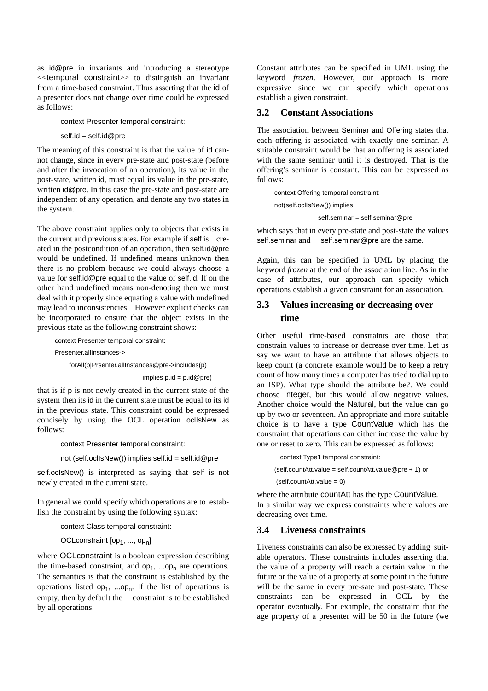as id@pre in invariants and introducing a stereotype <<temporal constraint>> to distinguish an invariant from a time-based constraint. Thus asserting that the id of a presenter does not change over time could be expressed as follows:

context Presenter temporal constraint:

self.id = self.id@pre

The meaning of this constraint is that the value of id cannot change, since in every pre-state and post-state (before and after the invocation of an operation), its value in the post-state, written id, must equal its value in the pre-state, written id@pre. In this case the pre-state and post-state are independent of any operation, and denote any two states in the system.

The above constraint applies only to objects that exists in the current and previous states. For example if self is created in the postcondition of an operation, then self.id@pre would be undefined. If undefined means unknown then there is no problem because we could always choose a value for self.id@pre equal to the value of self.id. If on the other hand undefined means non-denoting then we must deal with it properly since equating a value with undefined may lead to inconsistencies. However explicit checks can be incorporated to ensure that the object exists in the previous state as the following constraint shows:

context Presenter temporal constraint:

Presenter.allInstances->

forAll(p|Prsenter.allInstances@pre->includes(p)

 $implies p.id = p.id@pre)$ 

that is if p is not newly created in the current state of the system then its id in the current state must be equal to its id in the previous state. This constraint could be expressed concisely by using the OCL operation oclIsNew as follows:

context Presenter temporal constraint:

not (self.ocllsNew()) implies self.id = self.id@pre

self.oclsNew() is interpreted as saying that self is not newly created in the current state.

In general we could specify which operations are to establish the constraint by using the following syntax:

context Class temporal constraint:

OCLconstraint  $[op_1, ..., op_n]$ 

where OCL constraint is a boolean expression describing the time-based constraint, and  $op_1$ , ...op<sub>n</sub> are operations. The semantics is that the constraint is established by the operations listed  $op_1$ , ...op<sub>n</sub>. If the list of operations is empty, then by default the constraint is to be established by all operations.

Constant attributes can be specified in UML using the keyword *frozen*. However, our approach is more expressive since we can specify which operations establish a given constraint.

#### **3.2 Constant Associations**

The association between Seminar and Offering states that each offering is associated with exactly one seminar. A suitable constraint would be that an offering is associated with the same seminar until it is destroyed. That is the offering's seminar is constant. This can be expressed as follows:

context Offering temporal constraint: not(self.oclIsNew()) implies self.seminar = self.seminar@pre

which says that in every pre-state and post-state the values self.seminar and self.seminar@pre are the same.

Again, this can be specified in UML by placing the keyword *frozen* at the end of the association line. As in the case of attributes, our approach can specify which operations establish a given constraint for an association.

# **3.3 Values increasing or decreasing over time**

Other useful time-based constraints are those that constrain values to increase or decrease over time. Let us say we want to have an attribute that allows objects to keep count (a concrete example would be to keep a retry count of how many times a computer has tried to dial up to an ISP). What type should the attribute be?. We could choose Integer, but this would allow negative values. Another choice would the Natural, but the value can go up by two or seventeen. An appropriate and more suitable choice is to have a type CountValue which has the constraint that operations can either increase the value by one or reset to zero. This can be expressed as follows:

context Type1 temporal constraint:

(self.countAtt.value = self.countAtt.value@pre + 1) or

(self.countAtt.value = 0)

where the attribute countAtt has the type CountValue. In a similar way we express constraints where values are decreasing over time.

#### **3.4 Liveness constraints**

Liveness constraints can also be expressed by adding suitable operators. These constraints includes asserting that the value of a property will reach a certain value in the future or the value of a property at some point in the future will be the same in every pre-sate and post-state. These constraints can be expressed in OCL by the operator eventually. For example, the constraint that the age property of a presenter will be 50 in the future (we